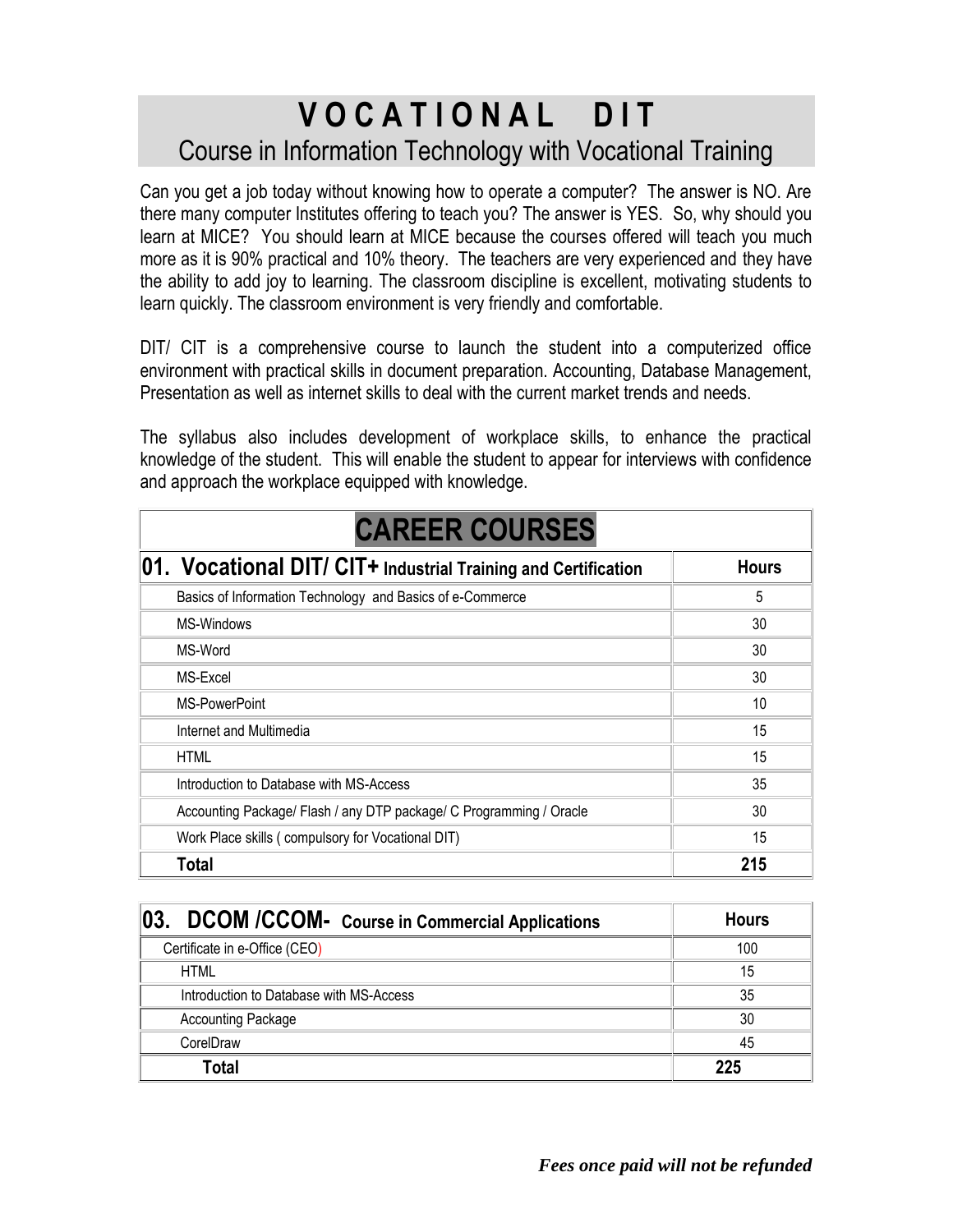## **V O C A T I O N A L D I T** Course in Information Technology with Vocational Training

Can you get a job today without knowing how to operate a computer? The answer is NO. Are there many computer Institutes offering to teach you? The answer is YES. So, why should you learn at MICE? You should learn at MICE because the courses offered will teach you much more as it is 90% practical and 10% theory. The teachers are very experienced and they have the ability to add joy to learning. The classroom discipline is excellent, motivating students to learn quickly. The classroom environment is very friendly and comfortable.

DIT/ CIT is a comprehensive course to launch the student into a computerized office environment with practical skills in document preparation. Accounting, Database Management, Presentation as well as internet skills to deal with the current market trends and needs.

The syllabus also includes development of workplace skills, to enhance the practical knowledge of the student. This will enable the student to appear for interviews with confidence and approach the workplace equipped with knowledge.

| <b>CAREER COURSES</b>                                               |              |  |
|---------------------------------------------------------------------|--------------|--|
| 01. Vocational DIT/ CIT+ Industrial Training and Certification      | <b>Hours</b> |  |
| Basics of Information Technology and Basics of e-Commerce           | 5            |  |
| MS-Windows                                                          | 30           |  |
| MS-Word                                                             | 30           |  |
| MS-Excel                                                            | 30           |  |
| MS-PowerPoint                                                       | 10           |  |
| Internet and Multimedia                                             | 15           |  |
| <b>HTML</b>                                                         | 15           |  |
| Introduction to Database with MS-Access                             | 35           |  |
| Accounting Package/ Flash / any DTP package/ C Programming / Oracle | 30           |  |
| Work Place skills (compulsory for Vocational DIT)                   | 15           |  |
| <b>Total</b>                                                        | 215          |  |

| 03.<br>DCOM /CCOM- Course in Commercial Applications | <b>Hours</b> |
|------------------------------------------------------|--------------|
| Certificate in e-Office (CEO)                        | 100          |
| <b>HTML</b>                                          | 15           |
| Introduction to Database with MS-Access              | 35           |
| <b>Accounting Package</b>                            | 30           |
| CorelDraw                                            | 45           |
| Total                                                | 225          |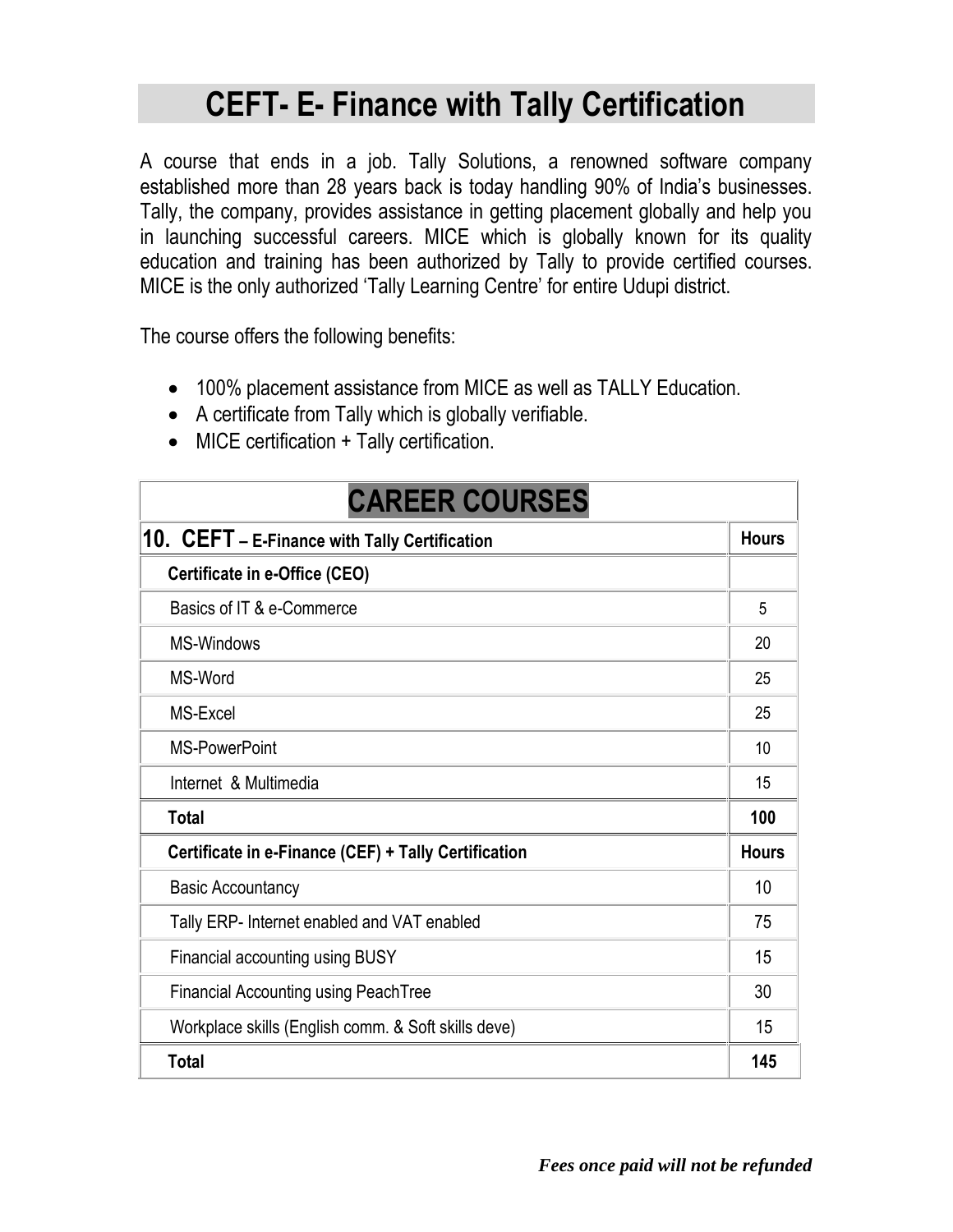## **CEFT- E- Finance with Tally Certification**

A course that ends in a job. Tally Solutions, a renowned software company established more than 28 years back is today handling 90% of India's businesses. Tally, the company, provides assistance in getting placement globally and help you in launching successful careers. MICE which is globally known for its quality education and training has been authorized by Tally to provide certified courses. MICE is the only authorized 'Tally Learning Centre' for entire Udupi district.

The course offers the following benefits:

- 100% placement assistance from MICE as well as TALLY Education.
- A certificate from Tally which is globally verifiable.
- MICE certification + Tally certification.

| <b>CAREER COURSES</b>                                |              |
|------------------------------------------------------|--------------|
| 10. CEFT - E-Finance with Tally Certification        | <b>Hours</b> |
| Certificate in e-Office (CEO)                        |              |
| Basics of IT & e-Commerce                            | 5            |
| <b>MS-Windows</b>                                    | 20           |
| MS-Word                                              | 25           |
| MS-Excel                                             | 25           |
| <b>MS-PowerPoint</b>                                 | 10           |
| Internet & Multimedia                                | 15           |
| <b>Total</b>                                         | 100          |
| Certificate in e-Finance (CEF) + Tally Certification | <b>Hours</b> |
| <b>Basic Accountancy</b>                             | 10           |
| Tally ERP- Internet enabled and VAT enabled          | 75           |
| Financial accounting using BUSY                      | 15           |
| <b>Financial Accounting using PeachTree</b>          | 30           |
| Workplace skills (English comm. & Soft skills deve)  | 15           |
| <b>Total</b>                                         | 145          |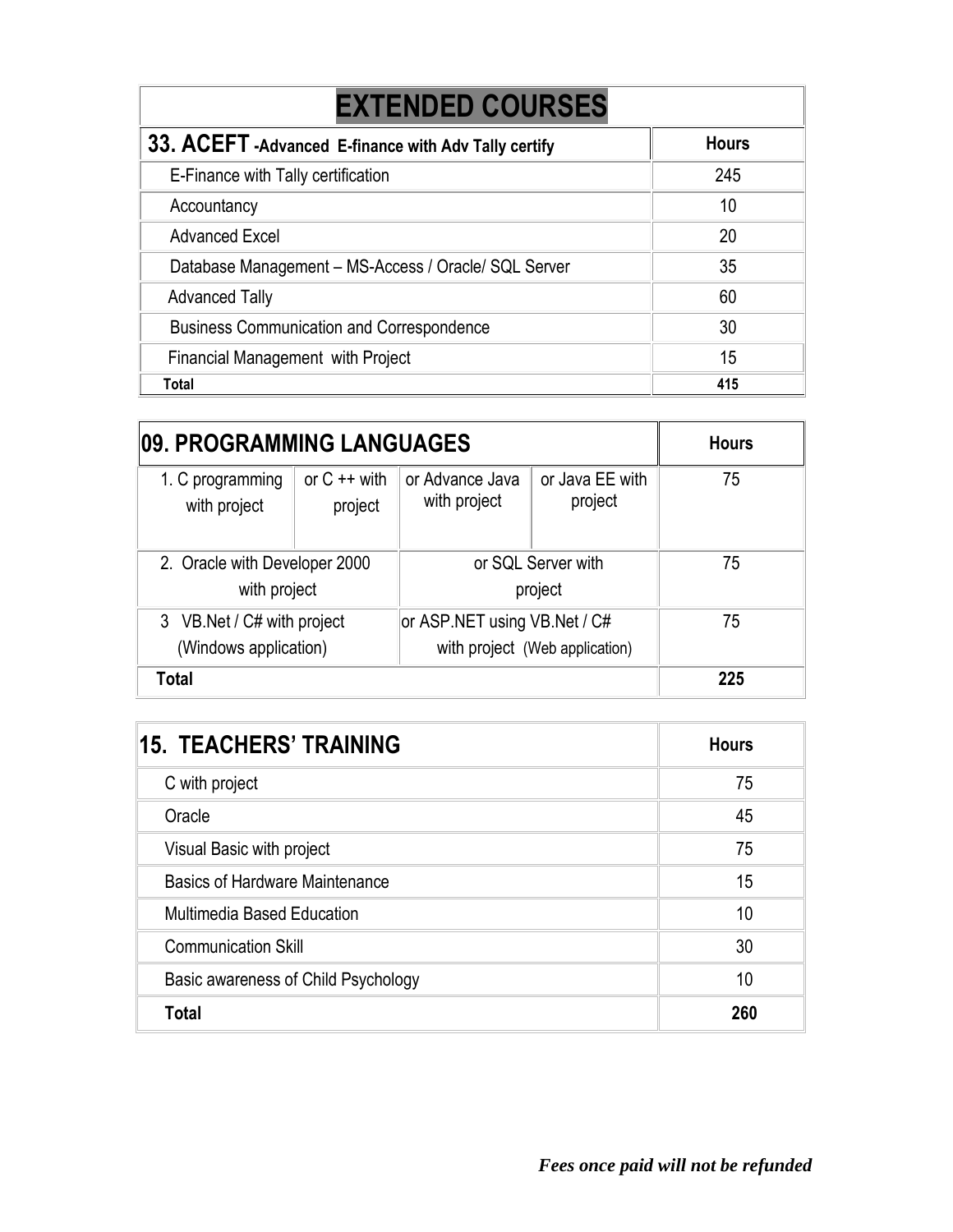| <b>EXTENDED COURSES</b>                               |              |  |
|-------------------------------------------------------|--------------|--|
| 33. ACEFT - Advanced E-finance with Adv Tally certify | <b>Hours</b> |  |
| E-Finance with Tally certification                    | 245          |  |
| Accountancy                                           | 10           |  |
| <b>Advanced Excel</b>                                 | 20           |  |
| Database Management - MS-Access / Oracle/ SQL Server  | 35           |  |
| <b>Advanced Tally</b>                                 | 60           |  |
| <b>Business Communication and Correspondence</b>      | 30           |  |
| <b>Financial Management with Project</b>              | 15           |  |
| Total                                                 | 415          |  |

| <b>09. PROGRAMMING LANGUAGES</b>                     |                            |                                 | <b>Hours</b>                   |     |
|------------------------------------------------------|----------------------------|---------------------------------|--------------------------------|-----|
| 1. C programming<br>with project                     | or $C + +$ with<br>project | or Advance Java<br>with project | or Java EE with<br>project     | 75  |
| 2. Oracle with Developer 2000<br>with project        |                            |                                 | or SQL Server with<br>project  | 75  |
| 3 VB. Net / C# with project<br>(Windows application) |                            | or ASP NET using VB Net / C#    | with project (Web application) | 75  |
| <b>Total</b>                                         |                            |                                 |                                | 225 |

| 15. TEACHERS' TRAINING                | <b>Hours</b> |
|---------------------------------------|--------------|
| C with project                        | 75           |
| Oracle                                | 45           |
| Visual Basic with project             | 75           |
| <b>Basics of Hardware Maintenance</b> | 15           |
| <b>Multimedia Based Education</b>     | 10           |
| <b>Communication Skill</b>            | 30           |
| Basic awareness of Child Psychology   | 10           |
| <b>Total</b>                          | 260          |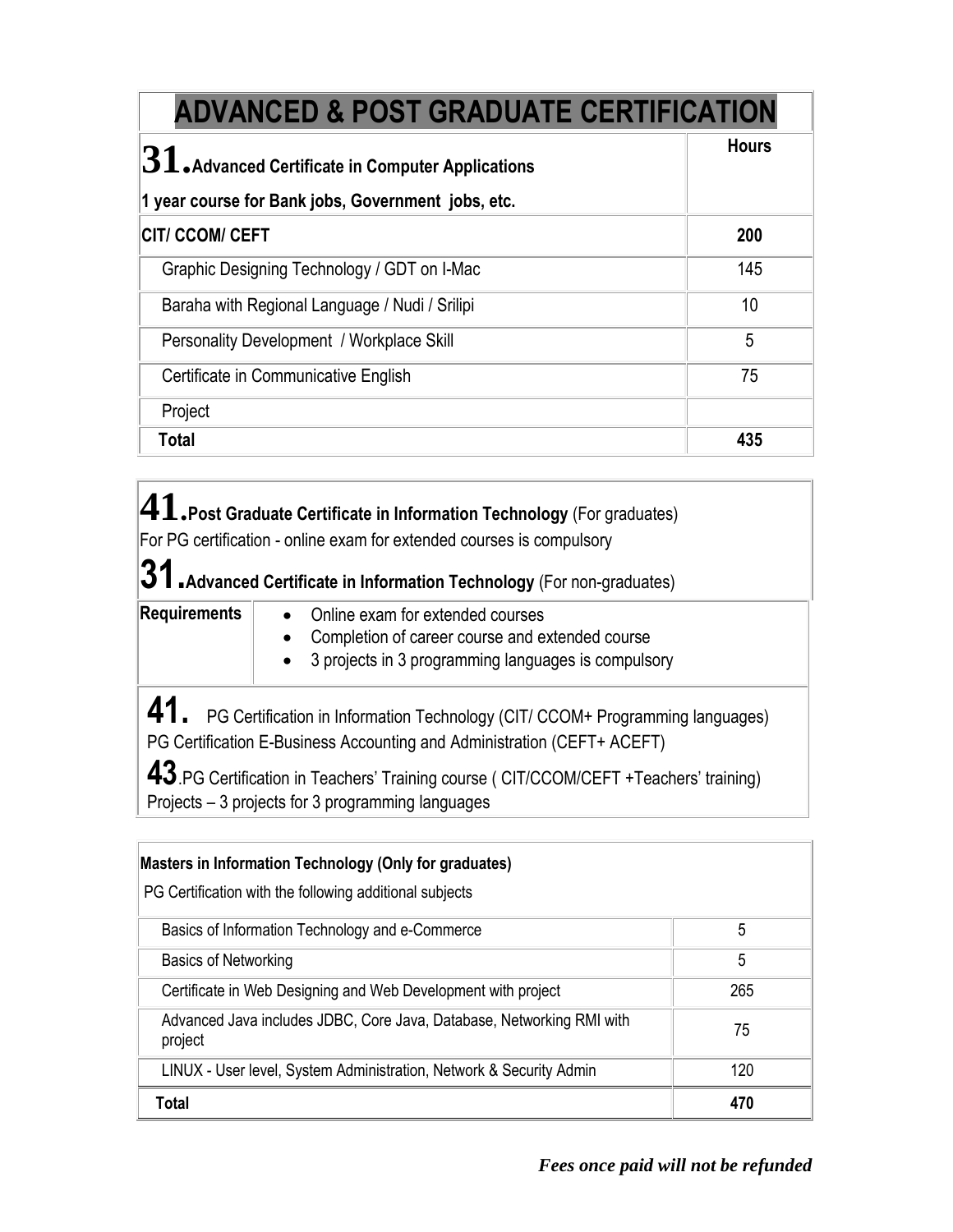| <b>ADVANCED &amp; POST GRADUATE CERTIFICATION</b>                       |              |
|-------------------------------------------------------------------------|--------------|
| $ \mathbf{31}_\mathsf{e}$ Advanced Certificate in Computer Applications | <b>Hours</b> |
| 1 year course for Bank jobs, Government jobs, etc.                      |              |
| <b>CITI CCOM/ CEFT</b>                                                  | 200          |
| Graphic Designing Technology / GDT on I-Mac                             | 145          |
| Baraha with Regional Language / Nudi / Srilipi                          | 10           |
| Personality Development / Workplace Skill                               | 5            |
| Certificate in Communicative English                                    | 75           |
| Project                                                                 |              |
| <b>Total</b>                                                            | 435          |

**41.Post Graduate Certificate in Information Technology** (For graduates)

For PG certification - online exam for extended courses is compulsory

**31.Advanced Certificate in Information Technology** (For non-graduates)

- **Requirements**  $\bullet$  **Online exam for extended courses** 
	- Completion of career course and extended course
	- 3 projects in 3 programming languages is compulsory

41. PG Certification in Information Technology (CIT/ CCOM+ Programming languages) PG Certification E-Business Accounting and Administration (CEFT+ ACEFT)

**43**.PG Certification in Teachers' Training course ( CIT/CCOM/CEFT +Teachers' training) Projects – 3 projects for 3 programming languages

| Masters in Information Technology (Only for graduates)<br>PG Certification with the following additional subjects |     |
|-------------------------------------------------------------------------------------------------------------------|-----|
| Basics of Information Technology and e-Commerce                                                                   | 5   |
| <b>Basics of Networking</b>                                                                                       | 5   |
| Certificate in Web Designing and Web Development with project                                                     | 265 |
| Advanced Java includes JDBC, Core Java, Database, Networking RMI with<br>project                                  | 75  |
| LINUX - User level, System Administration, Network & Security Admin                                               | 120 |
| <b>Total</b>                                                                                                      | 470 |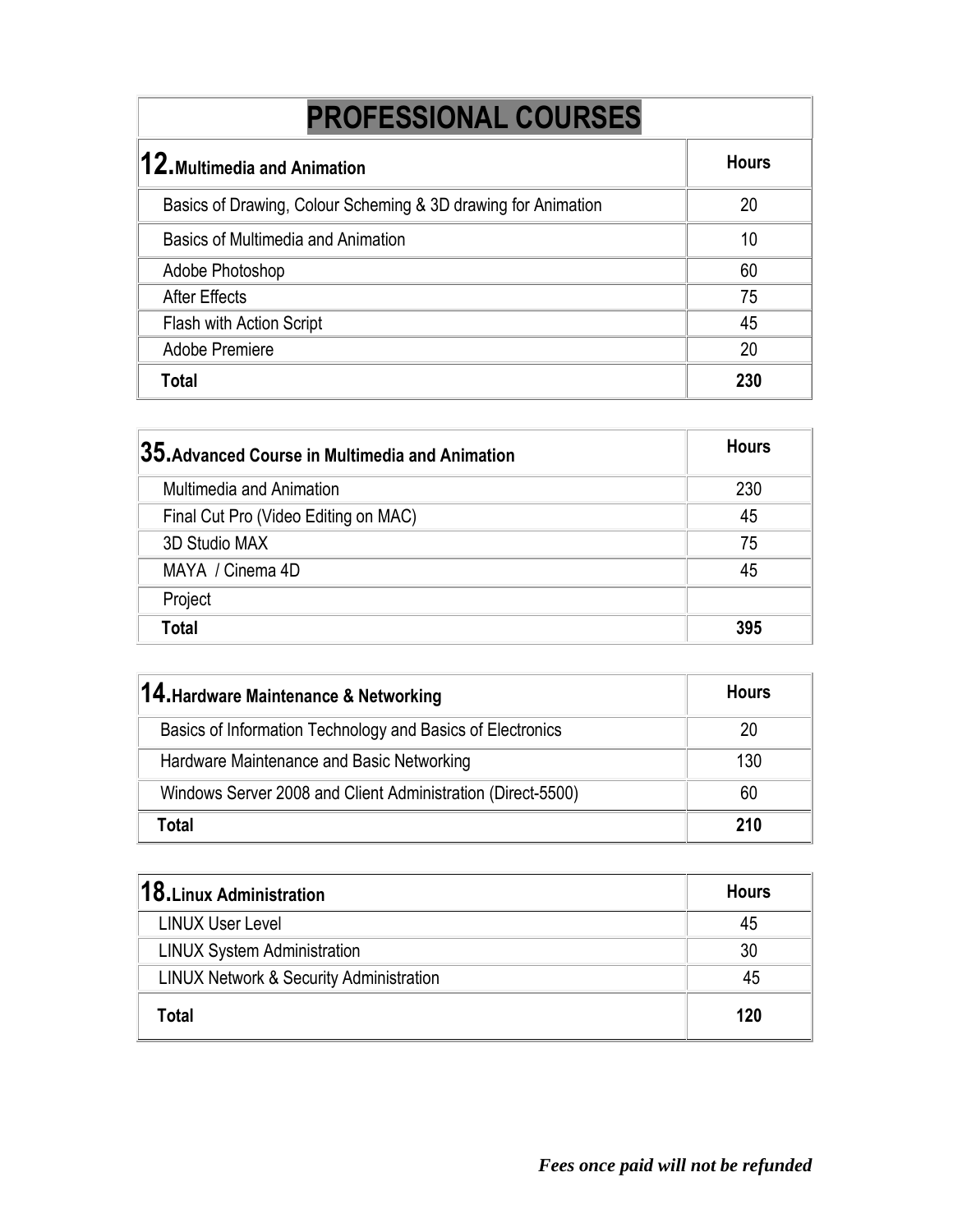## **PROFESSIONAL COURSES**

| $\bm{12}$ .Multimedia and Animation                           | <b>Hours</b> |
|---------------------------------------------------------------|--------------|
| Basics of Drawing, Colour Scheming & 3D drawing for Animation | 20           |
| Basics of Multimedia and Animation                            | 10           |
| Adobe Photoshop                                               | 60           |
| <b>After Effects</b>                                          | 75           |
| Flash with Action Script                                      | 45           |
| <b>Adobe Premiere</b>                                         | 20           |
| Total                                                         | 230          |

| $ 35$ .Advanced Course in Multimedia and Animation | <b>Hours</b> |
|----------------------------------------------------|--------------|
| <b>Multimedia and Animation</b>                    | 230          |
| Final Cut Pro (Video Editing on MAC)               | 45           |
| 3D Studio MAX                                      | 75           |
| MAYA / Cinema 4D                                   | 45           |
| Project                                            |              |
| Total                                              | 395          |

| 14. Hardware Maintenance & Networking                       | <b>Hours</b> |
|-------------------------------------------------------------|--------------|
| Basics of Information Technology and Basics of Electronics  | 20           |
| Hardware Maintenance and Basic Networking                   | 130          |
| Windows Server 2008 and Client Administration (Direct-5500) | 60           |
| Total                                                       | 210          |

| $18.$ Linux Administration                         | <b>Hours</b> |
|----------------------------------------------------|--------------|
| <b>LINUX User Level</b>                            | 45           |
| <b>LINUX System Administration</b>                 | 30           |
| <b>LINUX Network &amp; Security Administration</b> | 45           |
| Гоtal                                              | 120          |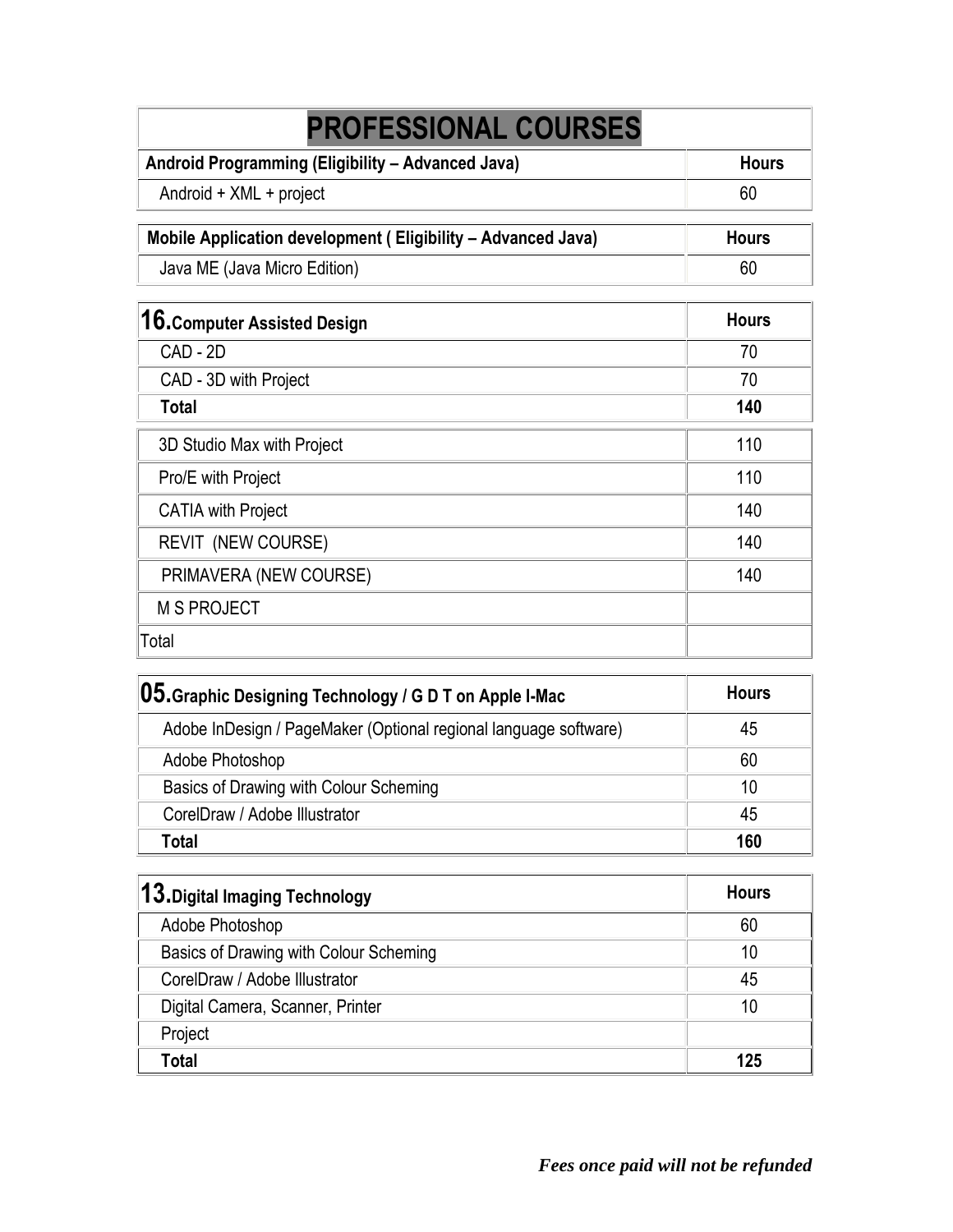| <b>PROFESSIONAL COURSES</b>                                  |              |
|--------------------------------------------------------------|--------------|
| Android Programming (Eligibility - Advanced Java)            | <b>Hours</b> |
| Android + XML + project                                      | 60           |
| Mobile Application development (Eligibility – Advanced Java) | <b>Hours</b> |
| Java ME (Java Micro Edition)                                 | 60           |
| 16. Computer Assisted Design                                 | <b>Hours</b> |
| CAD - 2D                                                     | 70           |
| CAD - 3D with Project                                        | 70           |
| <b>Total</b>                                                 | 140          |
| 3D Studio Max with Project                                   | 110          |
| Pro/E with Project                                           | 110          |
| <b>CATIA with Project</b>                                    | 140          |
| <b>REVIT (NEW COURSE)</b>                                    | 140          |
| PRIMAVERA (NEW COURSE)                                       | 140          |
| <b>M S PROJECT</b>                                           |              |
| Total                                                        |              |

| <b>05.</b> Graphic Designing Technology / G D T on Apple I-Mac   | <b>Hours</b> |
|------------------------------------------------------------------|--------------|
| Adobe InDesign / PageMaker (Optional regional language software) | 45           |
| Adobe Photoshop                                                  | 60           |
| Basics of Drawing with Colour Scheming                           | 10           |
| CorelDraw / Adobe Illustrator                                    | 45           |
| Total                                                            | 160          |

| 13. Digital Imaging Technology         | <b>Hours</b> |
|----------------------------------------|--------------|
| Adobe Photoshop                        | 60           |
| Basics of Drawing with Colour Scheming | 10           |
| CorelDraw / Adobe Illustrator          | 45           |
| Digital Camera, Scanner, Printer       | 10           |
| Project                                |              |
| Total                                  | 125          |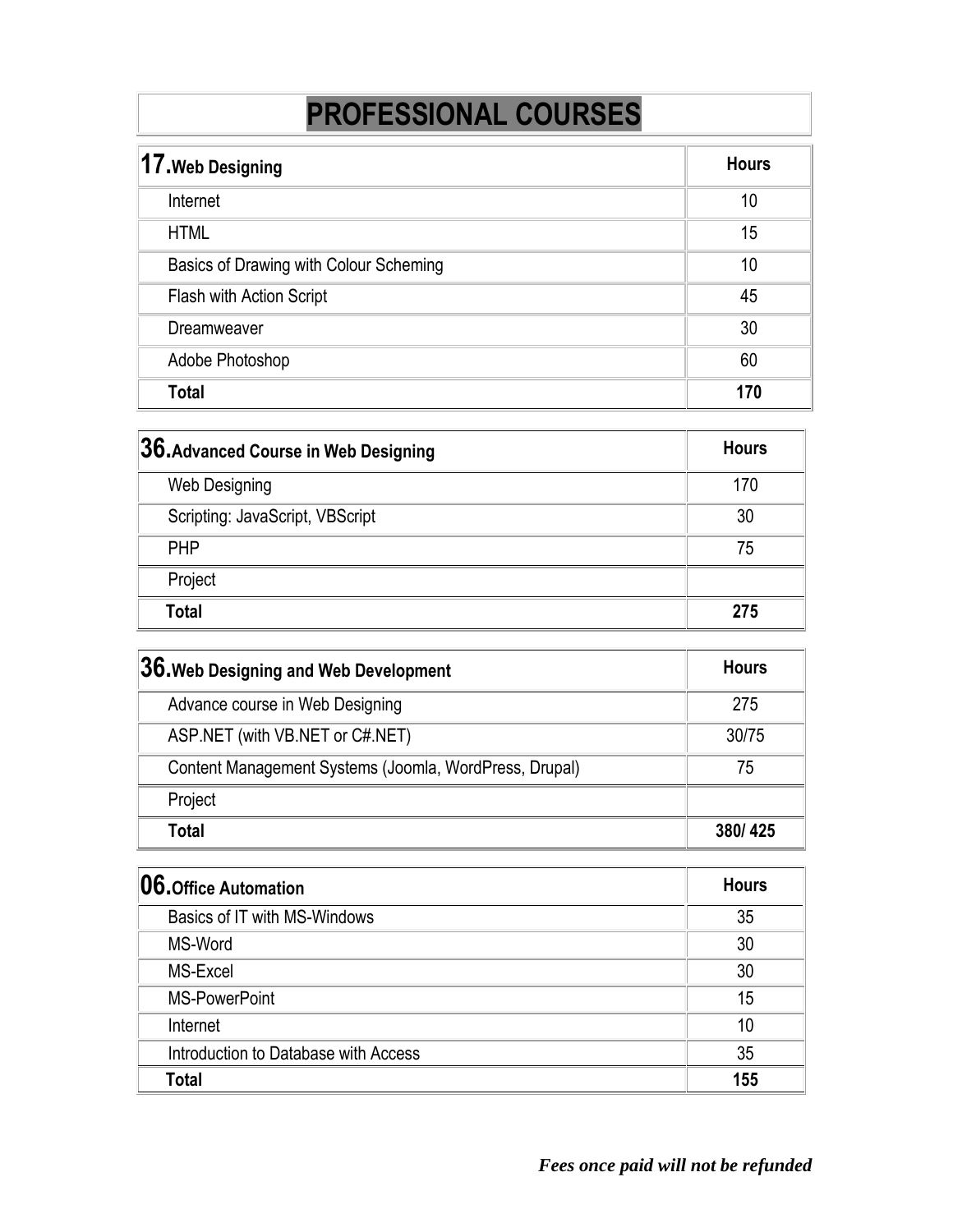## **PROFESSIONAL COURSES**

| 17. Web Designing                      | <b>Hours</b> |
|----------------------------------------|--------------|
| Internet                               | 10           |
| <b>HTML</b>                            | 15           |
| Basics of Drawing with Colour Scheming | 10           |
| Flash with Action Script               | 45           |
| Dreamweaver                            | 30           |
| Adobe Photoshop                        | 60           |
| Total                                  | 170          |

| $ 36$ . Advanced Course in Web Designing | <b>Hours</b> |
|------------------------------------------|--------------|
| Web Designing                            | 170          |
| Scripting: JavaScript, VBScript          | 30           |
| <b>PHP</b>                               | 75           |
| Project                                  |              |
| <b>Total</b>                             | 275          |

| $ 36.$ Web Designing and Web Development               | <b>Hours</b> |
|--------------------------------------------------------|--------------|
| Advance course in Web Designing                        | 275          |
| ASP.NET (with VB.NET or C#.NET)                        | 30/75        |
| Content Management Systems (Joomla, WordPress, Drupal) | 75           |
| Project                                                |              |
| Total                                                  | 380/425      |

| 06. Office Automation                | <b>Hours</b> |
|--------------------------------------|--------------|
| Basics of IT with MS-Windows         | 35           |
| MS-Word                              | 30           |
| MS-Excel                             | 30           |
| MS-PowerPoint                        | 15           |
| Internet                             | 10           |
| Introduction to Database with Access | 35           |
| Total                                | 155          |